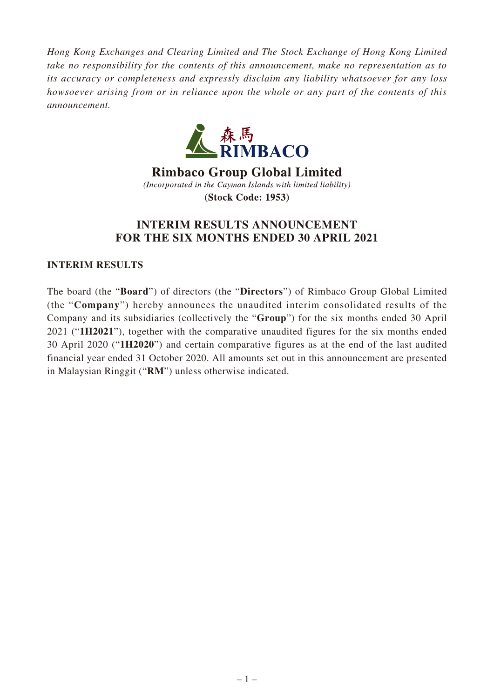*Hong Kong Exchanges and Clearing Limited and The Stock Exchange of Hong Kong Limited take no responsibility for the contents of this announcement, make no representation as to its accuracy or completeness and expressly disclaim any liability whatsoever for any loss howsoever arising from or in reliance upon the whole or any part of the contents of this announcement.*



**Rimbaco Group Global Limited** (Incorporated in the Cayman Islands with limited liability) **(Stock Code: 1953)** 

# **INTERIM RESULTS ANNOUNCEMENT FOR THE SIX MONTHS ENDED 30 APRIL 2021**

# **INTERIM RESULTS**

The board (the "**Board**") of directors (the "**Directors**") of Rimbaco Group Global Limited (the "**Company**") hereby announces the unaudited interim consolidated results of the Company and its subsidiaries (collectively the "**Group**") for the six months ended 30 April 2021 ("**1H2021**"), together with the comparative unaudited figures for the six months ended 30 April 2020 ("**1H2020**") and certain comparative figures as at the end of the last audited financial year ended 31 October 2020. All amounts set out in this announcement are presented in Malaysian Ringgit ("**RM**") unless otherwise indicated.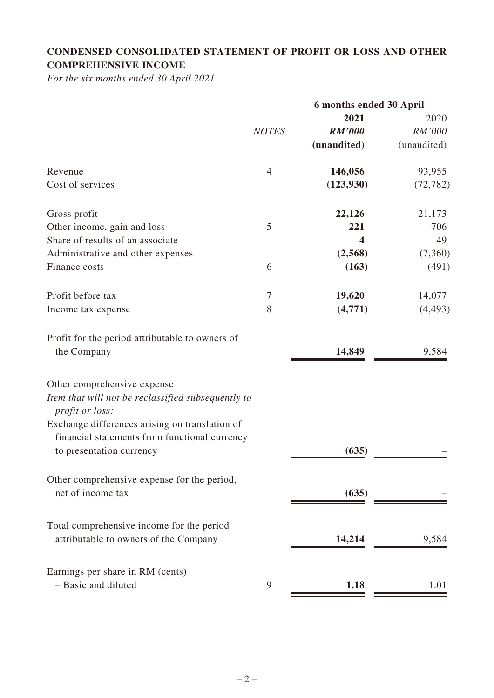# **CONDENSED CONSOLIDATED STATEMENT OF PROFIT OR LOSS AND OTHER COMPREHENSIVE INCOME**

*For the six months ended 30 April 2021*

|                                                                                                 |                | 6 months ended 30 April |             |
|-------------------------------------------------------------------------------------------------|----------------|-------------------------|-------------|
|                                                                                                 |                | 2021                    | 2020        |
|                                                                                                 | <b>NOTES</b>   | <b>RM'000</b>           | RM'000      |
|                                                                                                 |                | (unaudited)             | (unaudited) |
| Revenue                                                                                         | $\overline{4}$ | 146,056                 | 93,955      |
| Cost of services                                                                                |                | (123, 930)              | (72, 782)   |
| Gross profit                                                                                    |                | 22,126                  | 21,173      |
| Other income, gain and loss                                                                     | 5              | 221                     | 706         |
| Share of results of an associate                                                                |                | 4                       | 49          |
| Administrative and other expenses                                                               |                | (2,568)                 | (7,360)     |
| Finance costs                                                                                   | 6              | (163)                   | (491)       |
| Profit before tax                                                                               | $\overline{7}$ | 19,620                  | 14,077      |
| Income tax expense                                                                              | 8              | (4,771)                 | (4, 493)    |
| Profit for the period attributable to owners of<br>the Company                                  |                | 14,849                  | 9,584       |
| Other comprehensive expense                                                                     |                |                         |             |
| Item that will not be reclassified subsequently to<br>profit or loss:                           |                |                         |             |
| Exchange differences arising on translation of<br>financial statements from functional currency |                |                         |             |
| to presentation currency                                                                        |                | (635)                   |             |
| Other comprehensive expense for the period,<br>net of income tax                                |                | (635)                   |             |
| Total comprehensive income for the period<br>attributable to owners of the Company              |                | 14,214                  | 9,584       |
| Earnings per share in RM (cents)                                                                |                |                         |             |
| - Basic and diluted                                                                             | 9              | 1.18                    | 1.01        |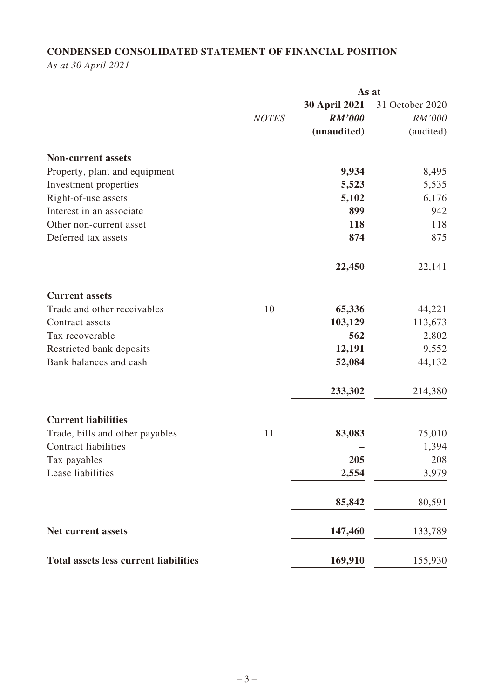# **CONDENSED CONSOLIDATED STATEMENT OF FINANCIAL POSITION**

*As at 30 April 2021*

|                                              | As at        |                                                      |                                        |
|----------------------------------------------|--------------|------------------------------------------------------|----------------------------------------|
|                                              | <b>NOTES</b> | <b>30 April 2021</b><br><b>RM'000</b><br>(unaudited) | 31 October 2020<br>RM'000<br>(audited) |
| <b>Non-current assets</b>                    |              |                                                      |                                        |
| Property, plant and equipment                |              | 9,934                                                | 8,495                                  |
| Investment properties                        |              | 5,523                                                | 5,535                                  |
| Right-of-use assets                          |              | 5,102                                                | 6,176                                  |
| Interest in an associate                     |              | 899                                                  | 942                                    |
| Other non-current asset                      |              | 118                                                  | 118                                    |
| Deferred tax assets                          |              | 874                                                  | 875                                    |
|                                              |              | 22,450                                               | 22,141                                 |
| <b>Current assets</b>                        |              |                                                      |                                        |
| Trade and other receivables                  | 10           | 65,336                                               | 44,221                                 |
| Contract assets                              |              | 103,129                                              | 113,673                                |
| Tax recoverable                              |              | 562                                                  | 2,802                                  |
| Restricted bank deposits                     |              | 12,191                                               | 9,552                                  |
| Bank balances and cash                       |              | 52,084                                               | 44,132                                 |
|                                              |              | 233,302                                              | 214,380                                |
| <b>Current liabilities</b>                   |              |                                                      |                                        |
| Trade, bills and other payables              | 11           | 83,083                                               | 75,010                                 |
| <b>Contract liabilities</b>                  |              |                                                      | 1,394                                  |
| Tax payables                                 |              | 205                                                  | 208                                    |
| Lease liabilities                            |              | 2,554                                                | 3,979                                  |
|                                              |              | 85,842                                               | 80,591                                 |
| Net current assets                           |              | 147,460                                              | 133,789                                |
| <b>Total assets less current liabilities</b> |              | 169,910                                              | 155,930                                |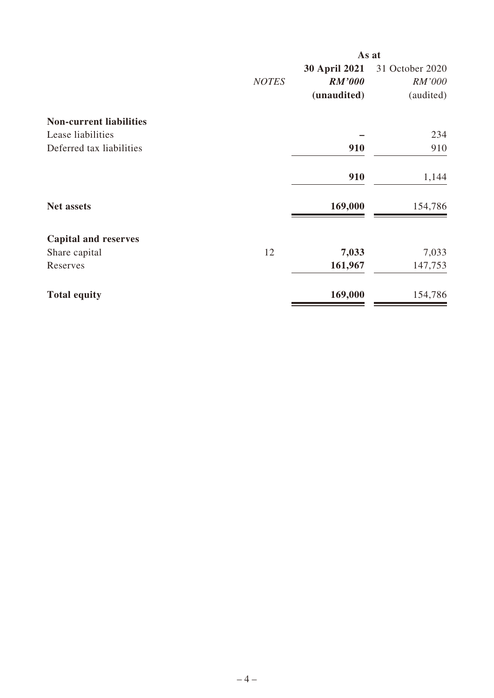|                                |              | As at                |                 |
|--------------------------------|--------------|----------------------|-----------------|
|                                |              | <b>30 April 2021</b> | 31 October 2020 |
|                                | <b>NOTES</b> | <b>RM'000</b>        | RM'000          |
|                                |              | (unaudited)          | (audited)       |
| <b>Non-current liabilities</b> |              |                      |                 |
| Lease liabilities              |              |                      | 234             |
| Deferred tax liabilities       |              | 910                  | 910             |
|                                |              | 910                  | 1,144           |
| <b>Net assets</b>              |              | 169,000              | 154,786         |
| <b>Capital and reserves</b>    |              |                      |                 |
| Share capital                  | 12           | 7,033                | 7,033           |
| Reserves                       |              | 161,967              | 147,753         |
| <b>Total equity</b>            |              | 169,000              | 154,786         |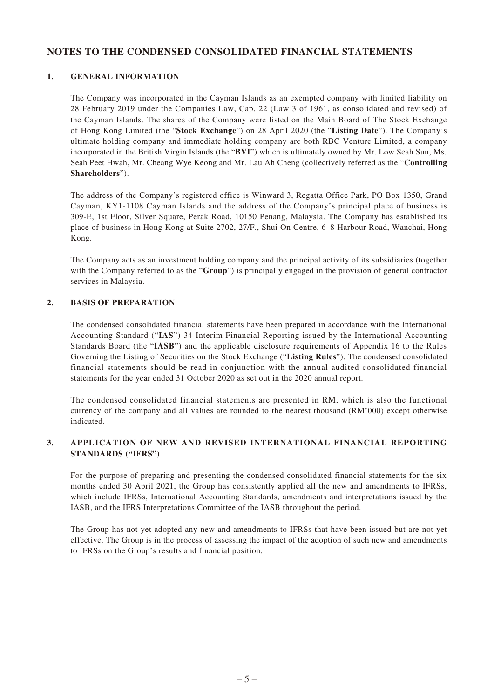#### **NOTES TO THE CONDENSED CONSOLIDATED FINANCIAL STATEMENTS**

#### **1. GENERAL INFORMATION**

The Company was incorporated in the Cayman Islands as an exempted company with limited liability on 28 February 2019 under the Companies Law, Cap. 22 (Law 3 of 1961, as consolidated and revised) of the Cayman Islands. The shares of the Company were listed on the Main Board of The Stock Exchange of Hong Kong Limited (the "**Stock Exchange**") on 28 April 2020 (the "**Listing Date**"). The Company's ultimate holding company and immediate holding company are both RBC Venture Limited, a company incorporated in the British Virgin Islands (the "**BVI**") which is ultimately owned by Mr. Low Seah Sun, Ms. Seah Peet Hwah, Mr. Cheang Wye Keong and Mr. Lau Ah Cheng (collectively referred as the "**Controlling Shareholders**").

The address of the Company's registered office is Winward 3, Regatta Office Park, PO Box 1350, Grand Cayman, KY1-1108 Cayman Islands and the address of the Company's principal place of business is 309-E, 1st Floor, Silver Square, Perak Road, 10150 Penang, Malaysia. The Company has established its place of business in Hong Kong at Suite 2702, 27/F., Shui On Centre, 6–8 Harbour Road, Wanchai, Hong Kong.

The Company acts as an investment holding company and the principal activity of its subsidiaries (together with the Company referred to as the "**Group**") is principally engaged in the provision of general contractor services in Malaysia.

#### **2. BASIS OF PREPARATION**

The condensed consolidated financial statements have been prepared in accordance with the International Accounting Standard ("**IAS**") 34 Interim Financial Reporting issued by the International Accounting Standards Board (the "**IASB**") and the applicable disclosure requirements of Appendix 16 to the Rules Governing the Listing of Securities on the Stock Exchange ("**Listing Rules**"). The condensed consolidated financial statements should be read in conjunction with the annual audited consolidated financial statements for the year ended 31 October 2020 as set out in the 2020 annual report.

The condensed consolidated financial statements are presented in RM, which is also the functional currency of the company and all values are rounded to the nearest thousand (RM'000) except otherwise indicated.

#### **3. APPLICATION OF NEW AND REVISED INTERNATIONAL FINANCIAL REPORTING STANDARDS ("IFRS")**

For the purpose of preparing and presenting the condensed consolidated financial statements for the six months ended 30 April 2021, the Group has consistently applied all the new and amendments to IFRSs, which include IFRSs, International Accounting Standards, amendments and interpretations issued by the IASB, and the IFRS Interpretations Committee of the IASB throughout the period.

The Group has not yet adopted any new and amendments to IFRSs that have been issued but are not yet effective. The Group is in the process of assessing the impact of the adoption of such new and amendments to IFRSs on the Group's results and financial position.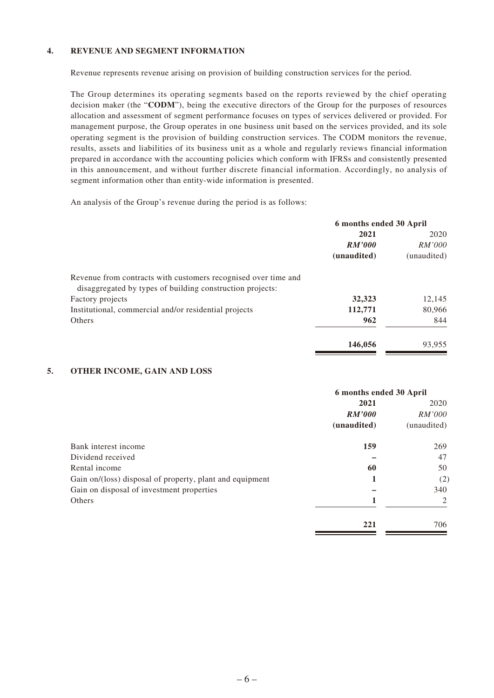#### **4. REVENUE AND SEGMENT INFORMATION**

Revenue represents revenue arising on provision of building construction services for the period.

The Group determines its operating segments based on the reports reviewed by the chief operating decision maker (the "**CODM**"), being the executive directors of the Group for the purposes of resources allocation and assessment of segment performance focuses on types of services delivered or provided. For management purpose, the Group operates in one business unit based on the services provided, and its sole operating segment is the provision of building construction services. The CODM monitors the revenue, results, assets and liabilities of its business unit as a whole and regularly reviews financial information prepared in accordance with the accounting policies which conform with IFRSs and consistently presented in this announcement, and without further discrete financial information. Accordingly, no analysis of segment information other than entity-wide information is presented.

An analysis of the Group's revenue during the period is as follows:

|                                                                                                                             | 6 months ended 30 April |               |
|-----------------------------------------------------------------------------------------------------------------------------|-------------------------|---------------|
|                                                                                                                             | 2021                    | 2020          |
|                                                                                                                             | RM'000                  | <i>RM'000</i> |
|                                                                                                                             | (unaudited)             | (unaudited)   |
| Revenue from contracts with customers recognised over time and<br>disaggregated by types of building construction projects: |                         |               |
| Factory projects                                                                                                            | 32,323                  | 12,145        |
| Institutional, commercial and/or residential projects                                                                       | 112,771                 | 80,966        |
| Others                                                                                                                      | 962                     | 844           |
|                                                                                                                             | 146,056                 | 93,955        |

#### **5. OTHER INCOME, GAIN AND LOSS**

|                                                          | 6 months ended 30 April |                |
|----------------------------------------------------------|-------------------------|----------------|
|                                                          | 2021                    | 2020           |
|                                                          | <b>RM'000</b>           | <i>RM'000</i>  |
|                                                          | (unaudited)             | (unaudited)    |
| Bank interest income                                     | 159                     | 269            |
| Dividend received                                        |                         | 47             |
| Rental income                                            | 60                      | 50             |
| Gain on/(loss) disposal of property, plant and equipment | 1                       | (2)            |
| Gain on disposal of investment properties                |                         | 340            |
| Others                                                   | 1                       | $\mathfrak{D}$ |
|                                                          | 221                     | 706            |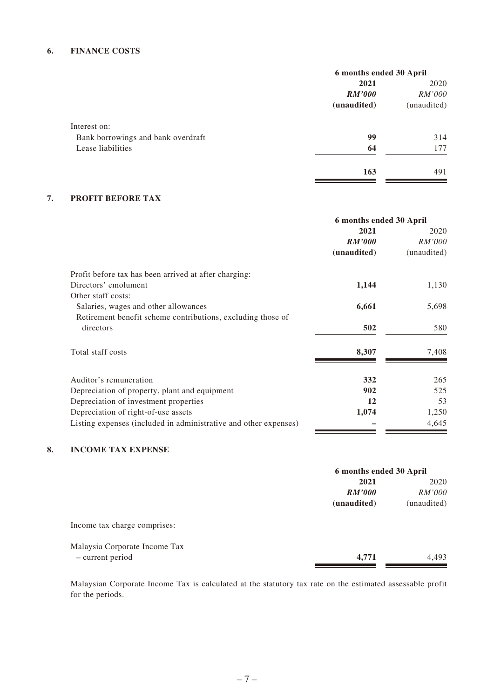#### **6. FINANCE COSTS**

|                                    | 6 months ended 30 April |               |
|------------------------------------|-------------------------|---------------|
|                                    | 2021                    | 2020          |
|                                    | <b>RM'000</b>           | <i>RM'000</i> |
|                                    | (unaudited)             | (unaudited)   |
| Interest on:                       |                         |               |
| Bank borrowings and bank overdraft | 99                      | 314           |
| Lease liabilities                  | 64                      | 177           |
|                                    | 163                     | 491           |

#### **7. PROFIT BEFORE TAX**

|                                                                  | 6 months ended 30 April |             |
|------------------------------------------------------------------|-------------------------|-------------|
|                                                                  | 2021                    | 2020        |
|                                                                  | <i>RM'000</i>           | RM'000      |
|                                                                  | (unaudited)             | (unaudited) |
| Profit before tax has been arrived at after charging:            |                         |             |
| Directors' emolument                                             | 1,144                   | 1,130       |
| Other staff costs:                                               |                         |             |
| Salaries, wages and other allowances                             | 6,661                   | 5,698       |
| Retirement benefit scheme contributions, excluding those of      |                         |             |
| directors                                                        | 502                     | 580         |
| Total staff costs                                                | 8,307                   | 7,408       |
| Auditor's remuneration                                           | 332                     | 265         |
| Depreciation of property, plant and equipment                    | 902                     | 525         |
| Depreciation of investment properties                            | 12                      | 53          |
| Depreciation of right-of-use assets                              | 1,074                   | 1,250       |
| Listing expenses (included in administrative and other expenses) |                         | 4,645       |

#### **8. INCOME TAX EXPENSE**

|                               |             | 6 months ended 30 April |  |
|-------------------------------|-------------|-------------------------|--|
|                               | 2021        | 2020                    |  |
|                               | RM'000      | <i>RM'000</i>           |  |
|                               | (unaudited) | (unaudited)             |  |
| Income tax charge comprises:  |             |                         |  |
| Malaysia Corporate Income Tax |             |                         |  |
| - current period              | 4,771       | 4,493                   |  |
|                               |             |                         |  |

Malaysian Corporate Income Tax is calculated at the statutory tax rate on the estimated assessable profit for the periods.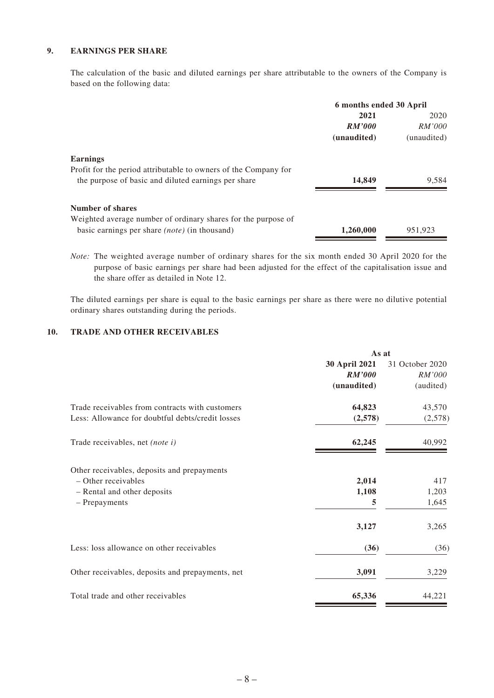#### **9. EARNINGS PER SHARE**

The calculation of the basic and diluted earnings per share attributable to the owners of the Company is based on the following data:

| 2020        |
|-------------|
| RM'000      |
| (unaudited) |
|             |
|             |
| 9,584       |
|             |
|             |
| 951.923     |
|             |

*Note:* The weighted average number of ordinary shares for the six month ended 30 April 2020 for the purpose of basic earnings per share had been adjusted for the effect of the capitalisation issue and the share offer as detailed in Note 12.

The diluted earnings per share is equal to the basic earnings per share as there were no dilutive potential ordinary shares outstanding during the periods.

#### **10. TRADE AND OTHER RECEIVABLES**

|                                                  | As at         |                 |
|--------------------------------------------------|---------------|-----------------|
|                                                  | 30 April 2021 | 31 October 2020 |
|                                                  | <b>RM'000</b> | RM'000          |
|                                                  | (unaudited)   | (audited)       |
| Trade receivables from contracts with customers  | 64,823        | 43,570          |
| Less: Allowance for doubtful debts/credit losses | (2,578)       | (2,578)         |
| Trade receivables, net (note i)                  | 62,245        | 40,992          |
| Other receivables, deposits and prepayments      |               |                 |
| - Other receivables                              | 2,014         | 417             |
| - Rental and other deposits                      | 1,108         | 1,203           |
| - Prepayments                                    | 5             | 1,645           |
|                                                  | 3,127         | 3,265           |
| Less: loss allowance on other receivables        | (36)          | (36)            |
| Other receivables, deposits and prepayments, net | 3,091         | 3,229           |
| Total trade and other receivables                | 65,336        | 44,221          |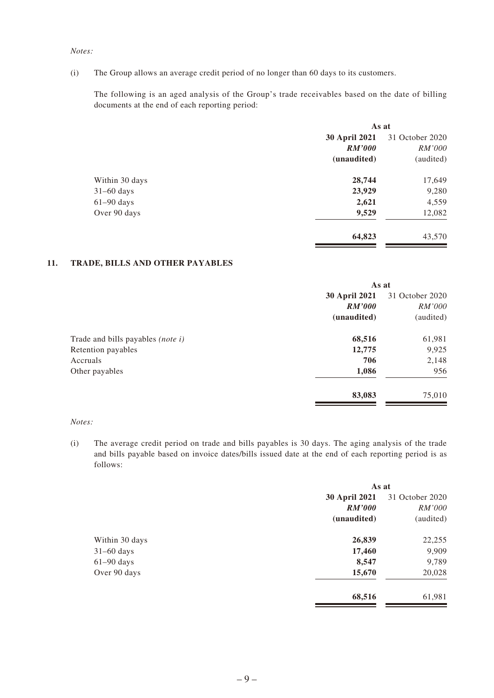#### *Notes:*

(i) The Group allows an average credit period of no longer than 60 days to its customers.

The following is an aged analysis of the Group's trade receivables based on the date of billing documents at the end of each reporting period:

|                | As at         |                 |
|----------------|---------------|-----------------|
|                | 30 April 2021 | 31 October 2020 |
|                | <b>RM'000</b> | <i>RM'000</i>   |
|                | (unaudited)   | (audited)       |
| Within 30 days | 28,744        | 17,649          |
| $31-60$ days   | 23,929        | 9,280           |
| $61-90$ days   | 2,621         | 4,559           |
| Over 90 days   | 9,529         | 12,082          |
|                | 64,823        | 43,570          |

#### **11. TRADE, BILLS AND OTHER PAYABLES**

|                                   | As at         |                 |
|-----------------------------------|---------------|-----------------|
|                                   | 30 April 2021 | 31 October 2020 |
|                                   | <b>RM'000</b> | <i>RM'000</i>   |
|                                   | (unaudited)   | (audited)       |
| Trade and bills payables (note i) | 68,516        | 61,981          |
| Retention payables                | 12,775        | 9,925           |
| Accruals                          | 706           | 2,148           |
| Other payables                    | 1,086         | 956             |
|                                   | 83,083        | 75,010          |

#### *Notes:*

(i) The average credit period on trade and bills payables is 30 days. The aging analysis of the trade and bills payable based on invoice dates/bills issued date at the end of each reporting period is as follows:

| As at         |                 |  |
|---------------|-----------------|--|
| 30 April 2021 | 31 October 2020 |  |
| <b>RM'000</b> | <i>RM'000</i>   |  |
| (unaudited)   | (audited)       |  |
| 26,839        | 22,255          |  |
| 17,460        | 9,909           |  |
| 8,547         | 9,789           |  |
| 15,670        | 20,028          |  |
| 68,516        | 61,981          |  |
|               |                 |  |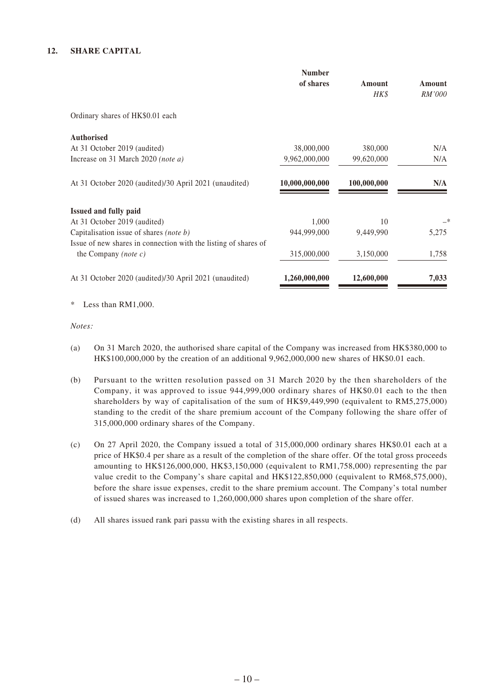#### **12. SHARE CAPITAL**

|                                                                 | <b>Number</b><br>of shares | Amount<br>HK\$ | Amount<br>RM'000 |
|-----------------------------------------------------------------|----------------------------|----------------|------------------|
| Ordinary shares of HK\$0.01 each                                |                            |                |                  |
| <b>Authorised</b>                                               |                            |                |                  |
| At 31 October 2019 (audited)                                    | 38,000,000                 | 380,000        | N/A              |
| Increase on 31 March 2020 (note a)                              | 9,962,000,000              | 99,620,000     | N/A              |
| At 31 October 2020 (audited)/30 April 2021 (unaudited)          | 10,000,000,000             | 100,000,000    | N/A              |
| Issued and fully paid                                           |                            |                |                  |
| At 31 October 2019 (audited)                                    | 1,000                      | 10             | —*               |
| Capitalisation issue of shares (note b)                         | 944,999,000                | 9,449,990      | 5,275            |
| Issue of new shares in connection with the listing of shares of |                            |                |                  |
| the Company (note $c$ )                                         | 315,000,000                | 3,150,000      | 1,758            |
| At 31 October 2020 (audited)/30 April 2021 (unaudited)          | 1,260,000,000              | 12,600,000     | 7,033            |
|                                                                 |                            |                |                  |

\* Less than RM1,000.

*Notes:*

- (a) On 31 March 2020, the authorised share capital of the Company was increased from HK\$380,000 to HK\$100,000,000 by the creation of an additional 9,962,000,000 new shares of HK\$0.01 each.
- (b) Pursuant to the written resolution passed on 31 March 2020 by the then shareholders of the Company, it was approved to issue 944,999,000 ordinary shares of HK\$0.01 each to the then shareholders by way of capitalisation of the sum of HK\$9,449,990 (equivalent to RM5,275,000) standing to the credit of the share premium account of the Company following the share offer of 315,000,000 ordinary shares of the Company.
- (c) On 27 April 2020, the Company issued a total of 315,000,000 ordinary shares HK\$0.01 each at a price of HK\$0.4 per share as a result of the completion of the share offer. Of the total gross proceeds amounting to HK\$126,000,000, HK\$3,150,000 (equivalent to RM1,758,000) representing the par value credit to the Company's share capital and HK\$122,850,000 (equivalent to RM68,575,000), before the share issue expenses, credit to the share premium account. The Company's total number of issued shares was increased to 1,260,000,000 shares upon completion of the share offer.
- (d) All shares issued rank pari passu with the existing shares in all respects.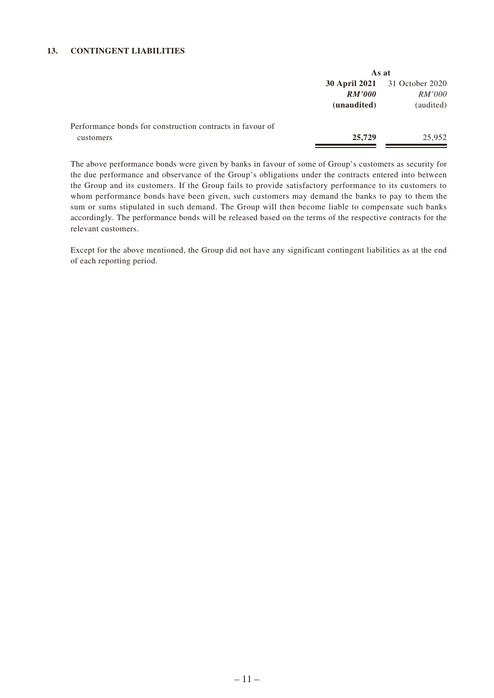#### **13. CONTINGENT LIABILITIES**

|                                                           | As at         |                                      |  |
|-----------------------------------------------------------|---------------|--------------------------------------|--|
|                                                           |               | <b>30 April 2021</b> 31 October 2020 |  |
|                                                           | <b>RM'000</b> | <i>RM'000</i>                        |  |
|                                                           | (unaudited)   | (audited)                            |  |
| Performance bonds for construction contracts in favour of |               |                                      |  |
| customers                                                 | 25,729        | 25,952                               |  |
|                                                           |               |                                      |  |

The above performance bonds were given by banks in favour of some of Group's customers as security for the due performance and observance of the Group's obligations under the contracts entered into between the Group and its customers. If the Group fails to provide satisfactory performance to its customers to whom performance bonds have been given, such customers may demand the banks to pay to them the sum or sums stipulated in such demand. The Group will then become liable to compensate such banks accordingly. The performance bonds will be released based on the terms of the respective contracts for the relevant customers.

Except for the above mentioned, the Group did not have any significant contingent liabilities as at the end of each reporting period.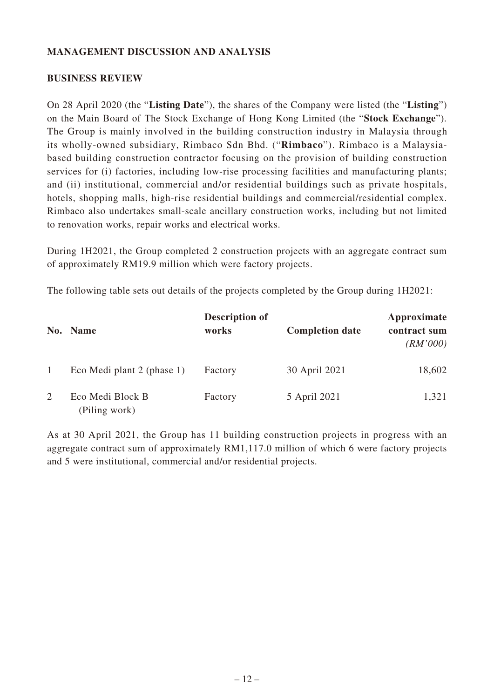### **MANAGEMENT DISCUSSION AND ANALYSIS**

#### **BUSINESS REVIEW**

On 28 April 2020 (the "**Listing Date**"), the shares of the Company were listed (the "**Listing**") on the Main Board of The Stock Exchange of Hong Kong Limited (the "**Stock Exchange**"). The Group is mainly involved in the building construction industry in Malaysia through its wholly-owned subsidiary, Rimbaco Sdn Bhd. ("**Rimbaco**"). Rimbaco is a Malaysiabased building construction contractor focusing on the provision of building construction services for (i) factories, including low-rise processing facilities and manufacturing plants; and (ii) institutional, commercial and/or residential buildings such as private hospitals, hotels, shopping malls, high-rise residential buildings and commercial/residential complex. Rimbaco also undertakes small-scale ancillary construction works, including but not limited to renovation works, repair works and electrical works.

During 1H2021, the Group completed 2 construction projects with an aggregate contract sum of approximately RM19.9 million which were factory projects.

The following table sets out details of the projects completed by the Group during 1H2021:

|   | No. Name                          | <b>Description of</b><br>works | <b>Completion date</b> | Approximate<br>contract sum<br>(RM'000) |
|---|-----------------------------------|--------------------------------|------------------------|-----------------------------------------|
|   | Eco Medi plant 2 (phase 1)        | Factory                        | 30 April 2021          | 18,602                                  |
| 2 | Eco Medi Block B<br>(Piling work) | Factory                        | 5 April 2021           | 1,321                                   |

As at 30 April 2021, the Group has 11 building construction projects in progress with an aggregate contract sum of approximately RM1,117.0 million of which 6 were factory projects and 5 were institutional, commercial and/or residential projects.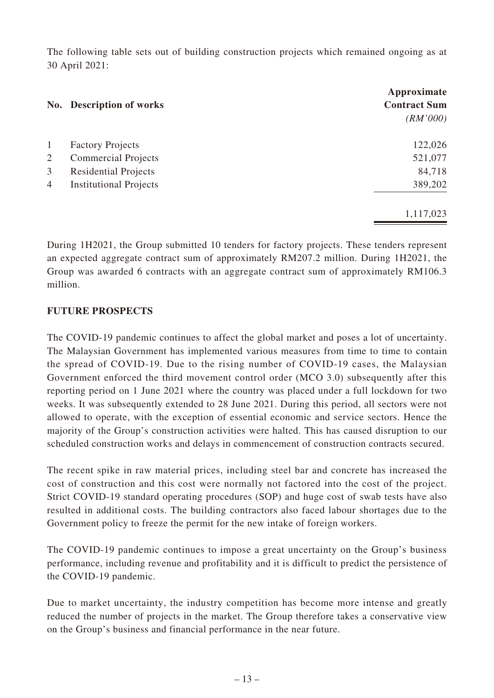The following table sets out of building construction projects which remained ongoing as at 30 April 2021:

|                | No. Description of works      | Approximate<br><b>Contract Sum</b><br>(RM'000) |
|----------------|-------------------------------|------------------------------------------------|
| 1              | <b>Factory Projects</b>       | 122,026                                        |
| 2              | <b>Commercial Projects</b>    | 521,077                                        |
| 3              | <b>Residential Projects</b>   | 84,718                                         |
| $\overline{4}$ | <b>Institutional Projects</b> | 389,202                                        |
|                |                               | 1,117,023                                      |

During 1H2021, the Group submitted 10 tenders for factory projects. These tenders represent an expected aggregate contract sum of approximately RM207.2 million. During 1H2021, the Group was awarded 6 contracts with an aggregate contract sum of approximately RM106.3 million.

### **FUTURE PROSPECTS**

The COVID-19 pandemic continues to affect the global market and poses a lot of uncertainty. The Malaysian Government has implemented various measures from time to time to contain the spread of COVID-19. Due to the rising number of COVID-19 cases, the Malaysian Government enforced the third movement control order (MCO 3.0) subsequently after this reporting period on 1 June 2021 where the country was placed under a full lockdown for two weeks. It was subsequently extended to 28 June 2021. During this period, all sectors were not allowed to operate, with the exception of essential economic and service sectors. Hence the majority of the Group's construction activities were halted. This has caused disruption to our scheduled construction works and delays in commencement of construction contracts secured.

The recent spike in raw material prices, including steel bar and concrete has increased the cost of construction and this cost were normally not factored into the cost of the project. Strict COVID-19 standard operating procedures (SOP) and huge cost of swab tests have also resulted in additional costs. The building contractors also faced labour shortages due to the Government policy to freeze the permit for the new intake of foreign workers.

The COVID-19 pandemic continues to impose a great uncertainty on the Group's business performance, including revenue and profitability and it is difficult to predict the persistence of the COVID-19 pandemic.

Due to market uncertainty, the industry competition has become more intense and greatly reduced the number of projects in the market. The Group therefore takes a conservative view on the Group's business and financial performance in the near future.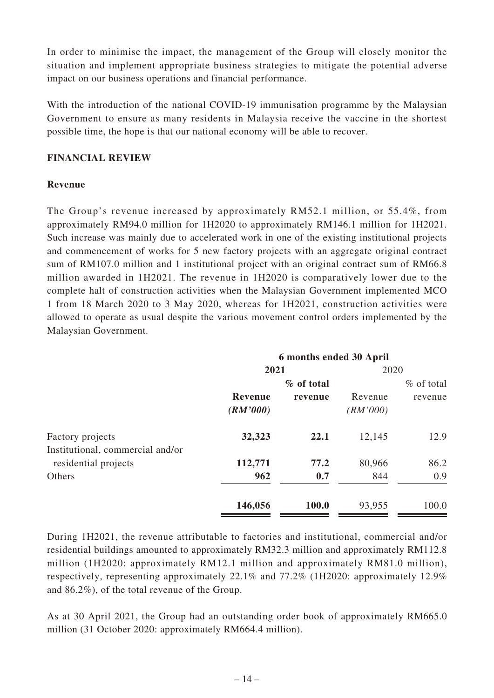In order to minimise the impact, the management of the Group will closely monitor the situation and implement appropriate business strategies to mitigate the potential adverse impact on our business operations and financial performance.

With the introduction of the national COVID-19 immunisation programme by the Malaysian Government to ensure as many residents in Malaysia receive the vaccine in the shortest possible time, the hope is that our national economy will be able to recover.

# **FINANCIAL REVIEW**

# **Revenue**

The Group's revenue increased by approximately RM52.1 million, or 55.4%, from approximately RM94.0 million for 1H2020 to approximately RM146.1 million for 1H2021. Such increase was mainly due to accelerated work in one of the existing institutional projects and commencement of works for 5 new factory projects with an aggregate original contract sum of RM107.0 million and 1 institutional project with an original contract sum of RM66.8 million awarded in 1H2021. The revenue in 1H2020 is comparatively lower due to the complete halt of construction activities when the Malaysian Government implemented MCO 1 from 18 March 2020 to 3 May 2020, whereas for 1H2021, construction activities were allowed to operate as usual despite the various movement control orders implemented by the Malaysian Government.

|                                                          | 6 months ended 30 April    |               |                     |               |
|----------------------------------------------------------|----------------------------|---------------|---------------------|---------------|
|                                                          | 2021                       |               | 2020                |               |
|                                                          |                            | $\%$ of total |                     | $\%$ of total |
|                                                          | <b>Revenue</b><br>(RM'000) | revenue       | Revenue<br>(RM'000) | revenue       |
| Factory projects                                         | 32,323                     | 22.1          | 12,145              | 12.9          |
| Institutional, commercial and/or<br>residential projects | 112,771                    | 77.2          | 80,966              | 86.2          |
| Others                                                   | 962                        | 0.7           | 844                 | 0.9           |
|                                                          | 146,056                    | 100.0         | 93,955              | 100.0         |

During 1H2021, the revenue attributable to factories and institutional, commercial and/or residential buildings amounted to approximately RM32.3 million and approximately RM112.8 million (1H2020: approximately RM12.1 million and approximately RM81.0 million), respectively, representing approximately 22.1% and 77.2% (1H2020: approximately 12.9% and 86.2%), of the total revenue of the Group.

As at 30 April 2021, the Group had an outstanding order book of approximately RM665.0 million (31 October 2020: approximately RM664.4 million).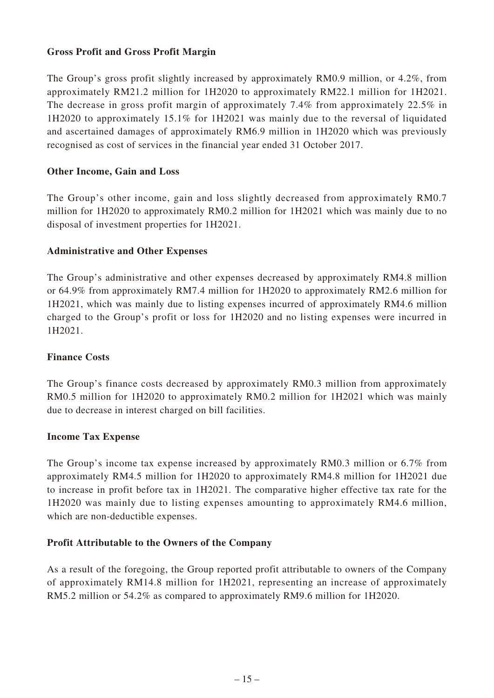### **Gross Profit and Gross Profit Margin**

The Group's gross profit slightly increased by approximately RM0.9 million, or 4.2%, from approximately RM21.2 million for 1H2020 to approximately RM22.1 million for 1H2021. The decrease in gross profit margin of approximately 7.4% from approximately 22.5% in 1H2020 to approximately 15.1% for 1H2021 was mainly due to the reversal of liquidated and ascertained damages of approximately RM6.9 million in 1H2020 which was previously recognised as cost of services in the financial year ended 31 October 2017.

### **Other Income, Gain and Loss**

The Group's other income, gain and loss slightly decreased from approximately RM0.7 million for 1H2020 to approximately RM0.2 million for 1H2021 which was mainly due to no disposal of investment properties for 1H2021.

### **Administrative and Other Expenses**

The Group's administrative and other expenses decreased by approximately RM4.8 million or 64.9% from approximately RM7.4 million for 1H2020 to approximately RM2.6 million for 1H2021, which was mainly due to listing expenses incurred of approximately RM4.6 million charged to the Group's profit or loss for 1H2020 and no listing expenses were incurred in 1H2021.

### **Finance Costs**

The Group's finance costs decreased by approximately RM0.3 million from approximately RM0.5 million for 1H2020 to approximately RM0.2 million for 1H2021 which was mainly due to decrease in interest charged on bill facilities.

### **Income Tax Expense**

The Group's income tax expense increased by approximately RM0.3 million or 6.7% from approximately RM4.5 million for 1H2020 to approximately RM4.8 million for 1H2021 due to increase in profit before tax in 1H2021. The comparative higher effective tax rate for the 1H2020 was mainly due to listing expenses amounting to approximately RM4.6 million, which are non-deductible expenses.

### **Profit Attributable to the Owners of the Company**

As a result of the foregoing, the Group reported profit attributable to owners of the Company of approximately RM14.8 million for 1H2021, representing an increase of approximately RM5.2 million or 54.2% as compared to approximately RM9.6 million for 1H2020.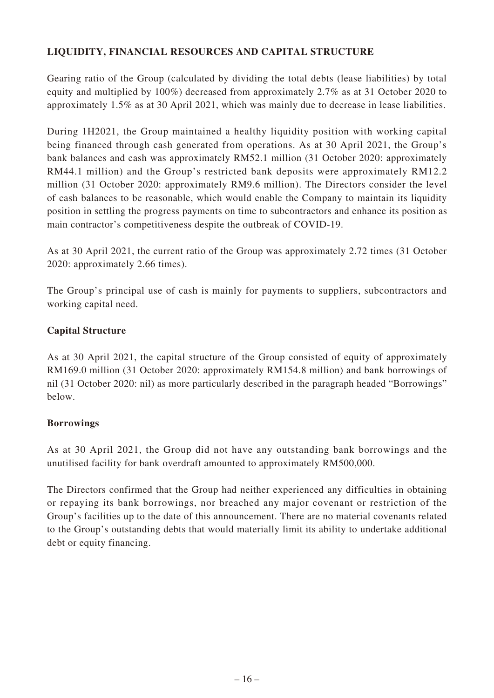# **LIQUIDITY, FINANCIAL RESOURCES AND CAPITAL STRUCTURE**

Gearing ratio of the Group (calculated by dividing the total debts (lease liabilities) by total equity and multiplied by 100%) decreased from approximately 2.7% as at 31 October 2020 to approximately 1.5% as at 30 April 2021, which was mainly due to decrease in lease liabilities.

During 1H2021, the Group maintained a healthy liquidity position with working capital being financed through cash generated from operations. As at 30 April 2021, the Group's bank balances and cash was approximately RM52.1 million (31 October 2020: approximately RM44.1 million) and the Group's restricted bank deposits were approximately RM12.2 million (31 October 2020: approximately RM9.6 million). The Directors consider the level of cash balances to be reasonable, which would enable the Company to maintain its liquidity position in settling the progress payments on time to subcontractors and enhance its position as main contractor's competitiveness despite the outbreak of COVID-19.

As at 30 April 2021, the current ratio of the Group was approximately 2.72 times (31 October 2020: approximately 2.66 times).

The Group's principal use of cash is mainly for payments to suppliers, subcontractors and working capital need.

# **Capital Structure**

As at 30 April 2021, the capital structure of the Group consisted of equity of approximately RM169.0 million (31 October 2020: approximately RM154.8 million) and bank borrowings of nil (31 October 2020: nil) as more particularly described in the paragraph headed "Borrowings" below.

### **Borrowings**

As at 30 April 2021, the Group did not have any outstanding bank borrowings and the unutilised facility for bank overdraft amounted to approximately RM500,000.

The Directors confirmed that the Group had neither experienced any difficulties in obtaining or repaying its bank borrowings, nor breached any major covenant or restriction of the Group's facilities up to the date of this announcement. There are no material covenants related to the Group's outstanding debts that would materially limit its ability to undertake additional debt or equity financing.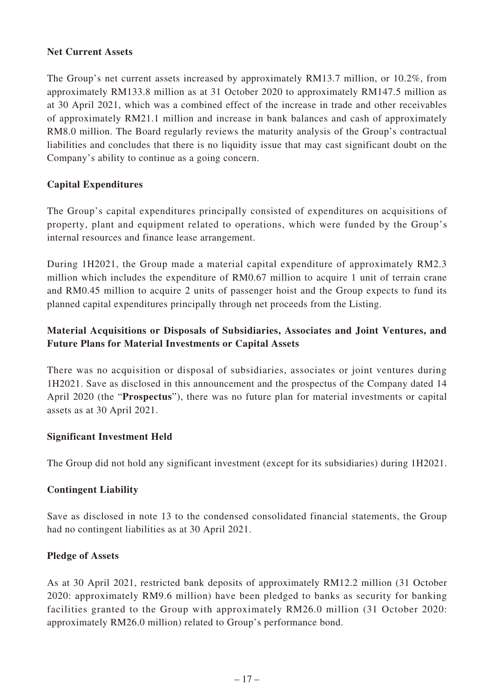### **Net Current Assets**

The Group's net current assets increased by approximately RM13.7 million, or 10.2%, from approximately RM133.8 million as at 31 October 2020 to approximately RM147.5 million as at 30 April 2021, which was a combined effect of the increase in trade and other receivables of approximately RM21.1 million and increase in bank balances and cash of approximately RM8.0 million. The Board regularly reviews the maturity analysis of the Group's contractual liabilities and concludes that there is no liquidity issue that may cast significant doubt on the Company's ability to continue as a going concern.

### **Capital Expenditures**

The Group's capital expenditures principally consisted of expenditures on acquisitions of property, plant and equipment related to operations, which were funded by the Group's internal resources and finance lease arrangement.

During 1H2021, the Group made a material capital expenditure of approximately RM2.3 million which includes the expenditure of RM0.67 million to acquire 1 unit of terrain crane and RM0.45 million to acquire 2 units of passenger hoist and the Group expects to fund its planned capital expenditures principally through net proceeds from the Listing.

# **Material Acquisitions or Disposals of Subsidiaries, Associates and Joint Ventures, and Future Plans for Material Investments or Capital Assets**

There was no acquisition or disposal of subsidiaries, associates or joint ventures during 1H2021. Save as disclosed in this announcement and the prospectus of the Company dated 14 April 2020 (the "**Prospectus**"), there was no future plan for material investments or capital assets as at 30 April 2021.

### **Significant Investment Held**

The Group did not hold any significant investment (except for its subsidiaries) during 1H2021.

### **Contingent Liability**

Save as disclosed in note 13 to the condensed consolidated financial statements, the Group had no contingent liabilities as at 30 April 2021.

### **Pledge of Assets**

As at 30 April 2021, restricted bank deposits of approximately RM12.2 million (31 October 2020: approximately RM9.6 million) have been pledged to banks as security for banking facilities granted to the Group with approximately RM26.0 million (31 October 2020: approximately RM26.0 million) related to Group's performance bond.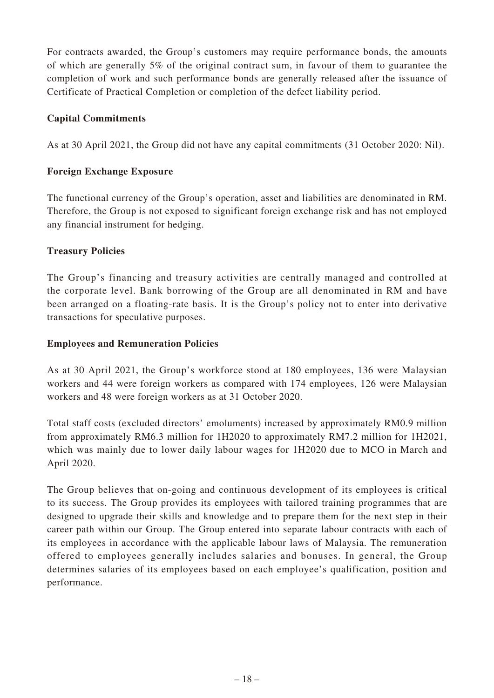For contracts awarded, the Group's customers may require performance bonds, the amounts of which are generally 5% of the original contract sum, in favour of them to guarantee the completion of work and such performance bonds are generally released after the issuance of Certificate of Practical Completion or completion of the defect liability period.

### **Capital Commitments**

As at 30 April 2021, the Group did not have any capital commitments (31 October 2020: Nil).

### **Foreign Exchange Exposure**

The functional currency of the Group's operation, asset and liabilities are denominated in RM. Therefore, the Group is not exposed to significant foreign exchange risk and has not employed any financial instrument for hedging.

### **Treasury Policies**

The Group's financing and treasury activities are centrally managed and controlled at the corporate level. Bank borrowing of the Group are all denominated in RM and have been arranged on a floating-rate basis. It is the Group's policy not to enter into derivative transactions for speculative purposes.

### **Employees and Remuneration Policies**

As at 30 April 2021, the Group's workforce stood at 180 employees, 136 were Malaysian workers and 44 were foreign workers as compared with 174 employees, 126 were Malaysian workers and 48 were foreign workers as at 31 October 2020.

Total staff costs (excluded directors' emoluments) increased by approximately RM0.9 million from approximately RM6.3 million for 1H2020 to approximately RM7.2 million for 1H2021, which was mainly due to lower daily labour wages for 1H2020 due to MCO in March and April 2020.

The Group believes that on-going and continuous development of its employees is critical to its success. The Group provides its employees with tailored training programmes that are designed to upgrade their skills and knowledge and to prepare them for the next step in their career path within our Group. The Group entered into separate labour contracts with each of its employees in accordance with the applicable labour laws of Malaysia. The remuneration offered to employees generally includes salaries and bonuses. In general, the Group determines salaries of its employees based on each employee's qualification, position and performance.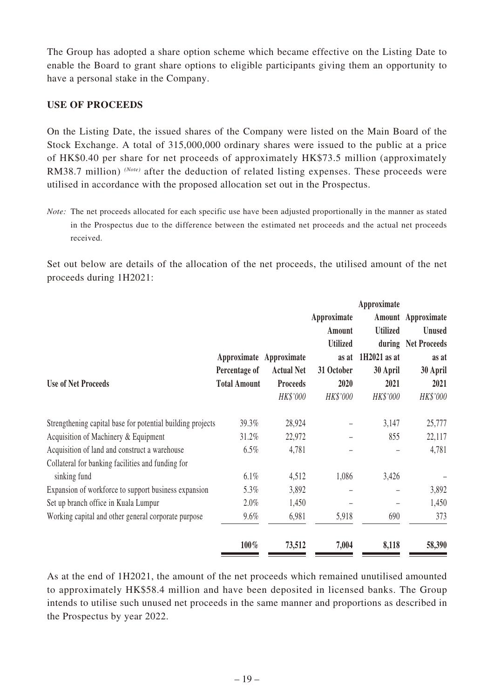The Group has adopted a share option scheme which became effective on the Listing Date to enable the Board to grant share options to eligible participants giving them an opportunity to have a personal stake in the Company.

### **USE OF PROCEEDS**

On the Listing Date, the issued shares of the Company were listed on the Main Board of the Stock Exchange. A total of 315,000,000 ordinary shares were issued to the public at a price of HK\$0.40 per share for net proceeds of approximately HK\$73.5 million (approximately RM38.7 million) *(Note)* after the deduction of related listing expenses. These proceeds were utilised in accordance with the proposed allocation set out in the Prospectus.

*Note:* The net proceeds allocated for each specific use have been adjusted proportionally in the manner as stated in the Prospectus due to the difference between the estimated net proceeds and the actual net proceeds received.

Set out below are details of the allocation of the net proceeds, the utilised amount of the net proceeds during 1H2021:

|                                                            |                     |                         |                   | Approximate     |                     |
|------------------------------------------------------------|---------------------|-------------------------|-------------------|-----------------|---------------------|
|                                                            |                     |                         | Approximate       |                 | Amount Approximate  |
|                                                            |                     |                         | Amount            | <b>Utilized</b> | <b>Unused</b>       |
|                                                            |                     |                         | <b>Utilized</b>   |                 | during Net Proceeds |
|                                                            |                     | Approximate Approximate | as at             | $1H2021$ as at  | as at               |
|                                                            | Percentage of       | <b>Actual Net</b>       | 31 October        | 30 April        | 30 April            |
| <b>Use of Net Proceeds</b>                                 | <b>Total Amount</b> | <b>Proceeds</b>         | 2020              | 2021            | 2021                |
|                                                            |                     | HK\$'000                | HK\$'000          | HK\$'000        | HK\$'000            |
| Strengthening capital base for potential building projects | 39.3%               | 28,924                  |                   | 3,147           | 25,777              |
| Acquisition of Machinery & Equipment                       | 31.2%               | 22,972                  |                   | 855             | 22,117              |
| Acquisition of land and construct a warehouse              | $6.5\%$             | 4,781                   |                   |                 | 4,781               |
| Collateral for banking facilities and funding for          |                     |                         |                   |                 |                     |
| sinking fund                                               | $6.1\%$             | 4,512                   | 1,086             | 3,426           |                     |
| Expansion of workforce to support business expansion       | 5.3%                | 3,892                   | $\qquad \qquad -$ |                 | 3,892               |
| Set up branch office in Kuala Lumpur                       | $2.0\%$             | 1,450                   |                   |                 | 1,450               |
| Working capital and other general corporate purpose        | 9.6%                | 6,981                   | 5,918             | 690             | 373                 |
|                                                            | 100%                | 73,512                  | 7,004             | 8,118           | 58,390              |

As at the end of 1H2021, the amount of the net proceeds which remained unutilised amounted to approximately HK\$58.4 million and have been deposited in licensed banks. The Group intends to utilise such unused net proceeds in the same manner and proportions as described in the Prospectus by year 2022.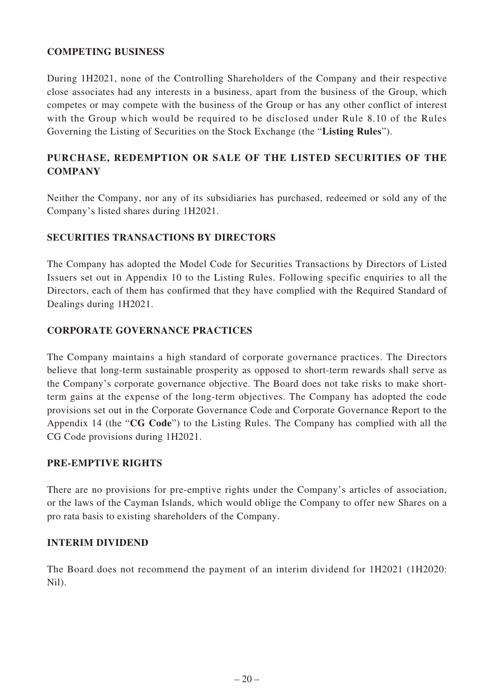### **COMPETING BUSINESS**

During 1H2021, none of the Controlling Shareholders of the Company and their respective close associates had any interests in a business, apart from the business of the Group, which competes or may compete with the business of the Group or has any other conflict of interest with the Group which would be required to be disclosed under Rule 8.10 of the Rules Governing the Listing of Securities on the Stock Exchange (the "**Listing Rules**").

# **PURCHASE, REDEMPTION OR SALE OF THE LISTED SECURITIES OF THE COMPANY**

Neither the Company, nor any of its subsidiaries has purchased, redeemed or sold any of the Company's listed shares during 1H2021.

### **SECURITIES TRANSACTIONS BY DIRECTORS**

The Company has adopted the Model Code for Securities Transactions by Directors of Listed Issuers set out in Appendix 10 to the Listing Rules. Following specific enquiries to all the Directors, each of them has confirmed that they have complied with the Required Standard of Dealings during 1H2021.

### **CORPORATE GOVERNANCE PRACTICES**

The Company maintains a high standard of corporate governance practices. The Directors believe that long-term sustainable prosperity as opposed to short-term rewards shall serve as the Company's corporate governance objective. The Board does not take risks to make shortterm gains at the expense of the long-term objectives. The Company has adopted the code provisions set out in the Corporate Governance Code and Corporate Governance Report to the Appendix 14 (the "**CG Code**") to the Listing Rules. The Company has complied with all the CG Code provisions during 1H2021.

### **PRE-EMPTIVE RIGHTS**

There are no provisions for pre-emptive rights under the Company's articles of association, or the laws of the Cayman Islands, which would oblige the Company to offer new Shares on a pro rata basis to existing shareholders of the Company.

### **INTERIM DIVIDEND**

The Board does not recommend the payment of an interim dividend for 1H2021 (1H2020: Nil).